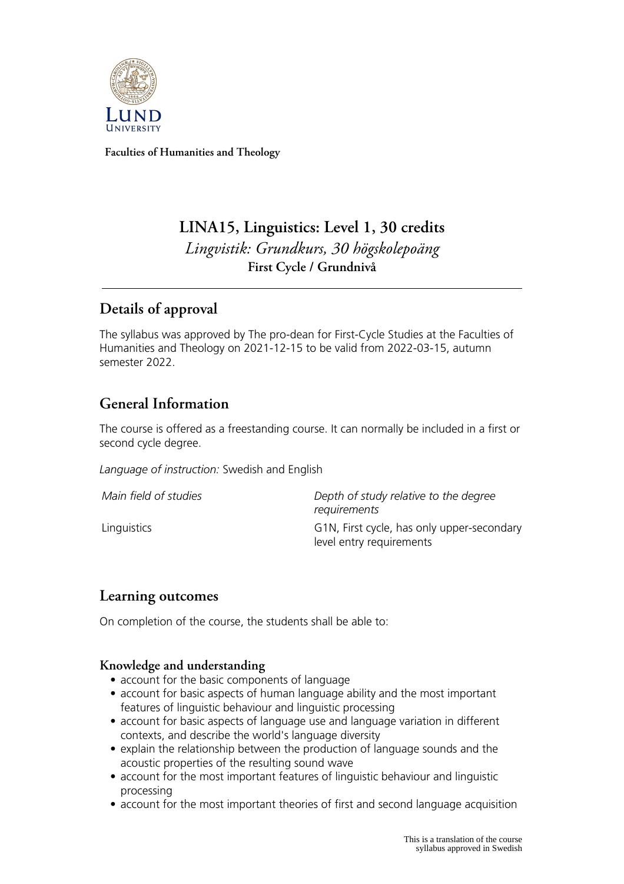

**Faculties of Humanities and Theology**

# **LINA15, Linguistics: Level 1, 30 credits** *Lingvistik: Grundkurs, 30 högskolepoäng* **First Cycle / Grundnivå**

# **Details of approval**

The syllabus was approved by The pro-dean for First-Cycle Studies at the Faculties of Humanities and Theology on 2021-12-15 to be valid from 2022-03-15, autumn semester 2022.

# **General Information**

The course is offered as a freestanding course. It can normally be included in a first or second cycle degree.

*Language of instruction:* Swedish and English

| Main field of studies | Depth of study relative to the degree<br>requirements                  |
|-----------------------|------------------------------------------------------------------------|
| Linguistics           | G1N, First cycle, has only upper-secondary<br>level entry requirements |

## **Learning outcomes**

On completion of the course, the students shall be able to:

### **Knowledge and understanding**

- account for the basic components of language
- account for basic aspects of human language ability and the most important features of linguistic behaviour and linguistic processing
- account for basic aspects of language use and language variation in different contexts, and describe the world's language diversity
- explain the relationship between the production of language sounds and the acoustic properties of the resulting sound wave
- account for the most important features of linguistic behaviour and linguistic processing
- account for the most important theories of first and second language acquisition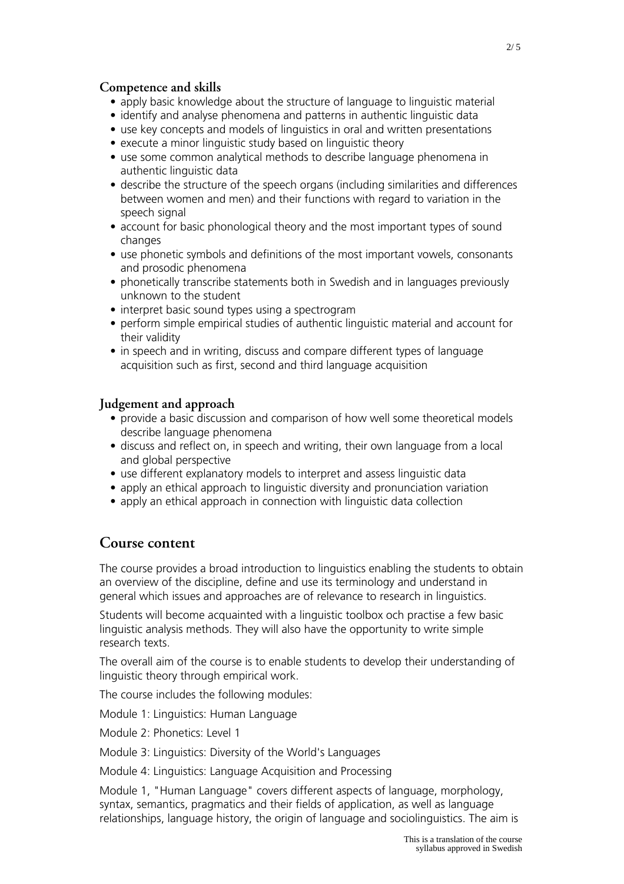#### **Competence and skills**

- apply basic knowledge about the structure of language to linguistic material
- identify and analyse phenomena and patterns in authentic linguistic data
- use key concepts and models of linguistics in oral and written presentations
- execute a minor linguistic study based on linguistic theory
- use some common analytical methods to describe language phenomena in authentic linguistic data
- describe the structure of the speech organs (including similarities and differences between women and men) and their functions with regard to variation in the speech signal
- account for basic phonological theory and the most important types of sound changes
- use phonetic symbols and definitions of the most important vowels, consonants and prosodic phenomena
- phonetically transcribe statements both in Swedish and in languages previously unknown to the student
- interpret basic sound types using a spectrogram
- perform simple empirical studies of authentic linguistic material and account for their validity
- in speech and in writing, discuss and compare different types of language acquisition such as first, second and third language acquisition

#### **Judgement and approach**

- provide a basic discussion and comparison of how well some theoretical models describe language phenomena
- discuss and reflect on, in speech and writing, their own language from a local and global perspective
- use different explanatory models to interpret and assess linguistic data
- apply an ethical approach to linguistic diversity and pronunciation variation
- apply an ethical approach in connection with linguistic data collection

### **Course content**

The course provides a broad introduction to linguistics enabling the students to obtain an overview of the discipline, define and use its terminology and understand in general which issues and approaches are of relevance to research in linguistics.

Students will become acquainted with a linguistic toolbox och practise a few basic linguistic analysis methods. They will also have the opportunity to write simple research texts.

The overall aim of the course is to enable students to develop their understanding of linguistic theory through empirical work.

The course includes the following modules:

Module 1: Linguistics: Human Language

Module 2: Phonetics: Level 1

Module 3: Linguistics: Diversity of the World's Languages

Module 4: Linguistics: Language Acquisition and Processing

Module 1, "Human Language" covers different aspects of language, morphology, syntax, semantics, pragmatics and their fields of application, as well as language relationships, language history, the origin of language and sociolinguistics. The aim is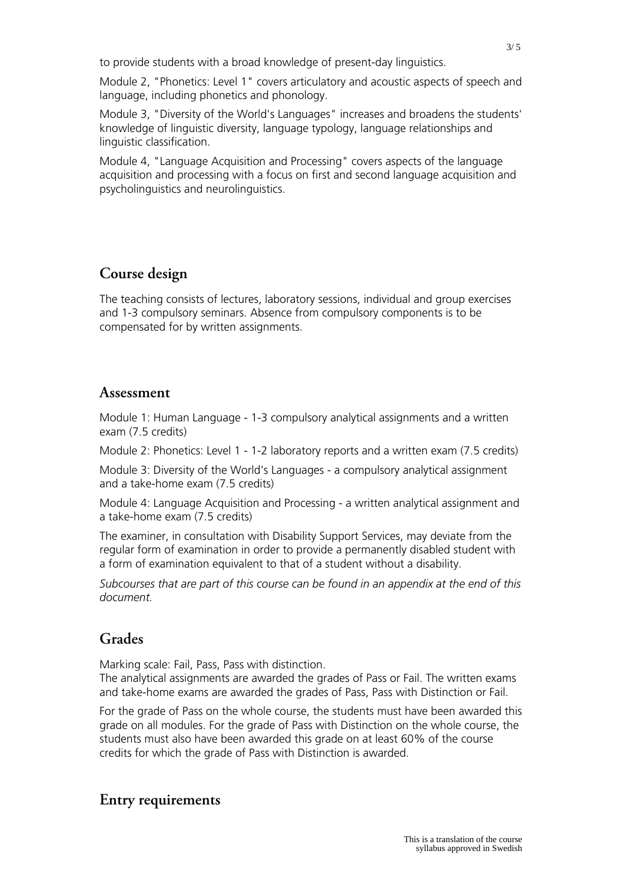to provide students with a broad knowledge of present-day linguistics.

Module 2, "Phonetics: Level 1" covers articulatory and acoustic aspects of speech and language, including phonetics and phonology.

Module 3, "Diversity of the World's Languages" increases and broadens the students' knowledge of linguistic diversity, language typology, language relationships and linguistic classification.

Module 4, "Language Acquisition and Processing" covers aspects of the language acquisition and processing with a focus on first and second language acquisition and psycholinguistics and neurolinguistics.

## **Course design**

The teaching consists of lectures, laboratory sessions, individual and group exercises and 1-3 compulsory seminars. Absence from compulsory components is to be compensated for by written assignments.

#### **Assessment**

Module 1: Human Language - 1-3 compulsory analytical assignments and a written exam (7.5 credits)

Module 2: Phonetics: Level 1 - 1-2 laboratory reports and a written exam (7.5 credits)

Module 3: Diversity of the World's Languages - a compulsory analytical assignment and a take-home exam (7.5 credits)

Module 4: Language Acquisition and Processing - a written analytical assignment and a take-home exam (7.5 credits)

The examiner, in consultation with Disability Support Services, may deviate from the regular form of examination in order to provide a permanently disabled student with a form of examination equivalent to that of a student without a disability.

*Subcourses that are part of this course can be found in an appendix at the end of this document.*

## **Grades**

Marking scale: Fail, Pass, Pass with distinction.

The analytical assignments are awarded the grades of Pass or Fail. The written exams and take-home exams are awarded the grades of Pass, Pass with Distinction or Fail.

For the grade of Pass on the whole course, the students must have been awarded this grade on all modules. For the grade of Pass with Distinction on the whole course, the students must also have been awarded this grade on at least 60% of the course credits for which the grade of Pass with Distinction is awarded.

### **Entry requirements**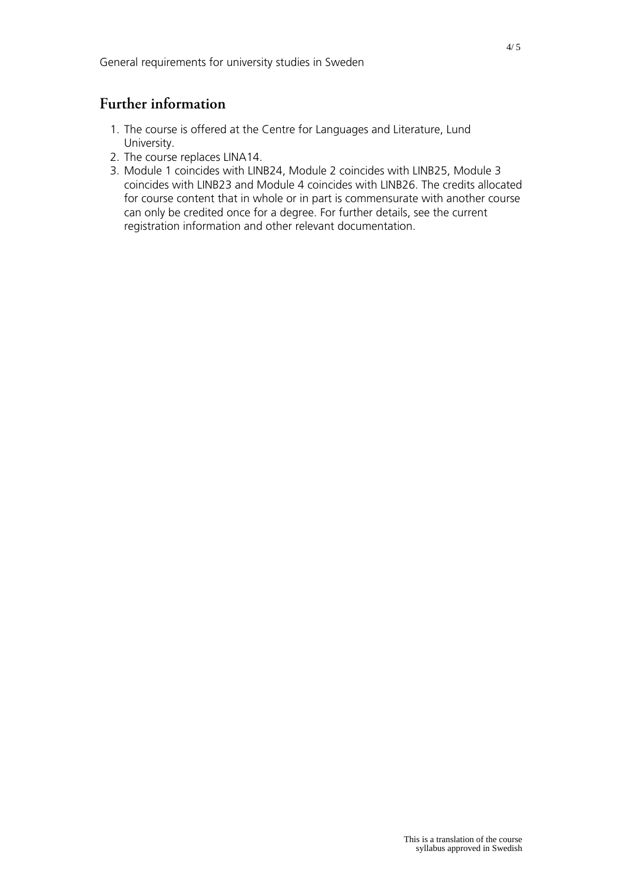## **Further information**

- 1. The course is offered at the Centre for Languages and Literature, Lund University.
- 2. The course replaces LINA14.
- 3. Module 1 coincides with LINB24, Module 2 coincides with LINB25, Module 3 coincides with LINB23 and Module 4 coincides with LINB26. The credits allocated for course content that in whole or in part is commensurate with another course can only be credited once for a degree. For further details, see the current registration information and other relevant documentation.